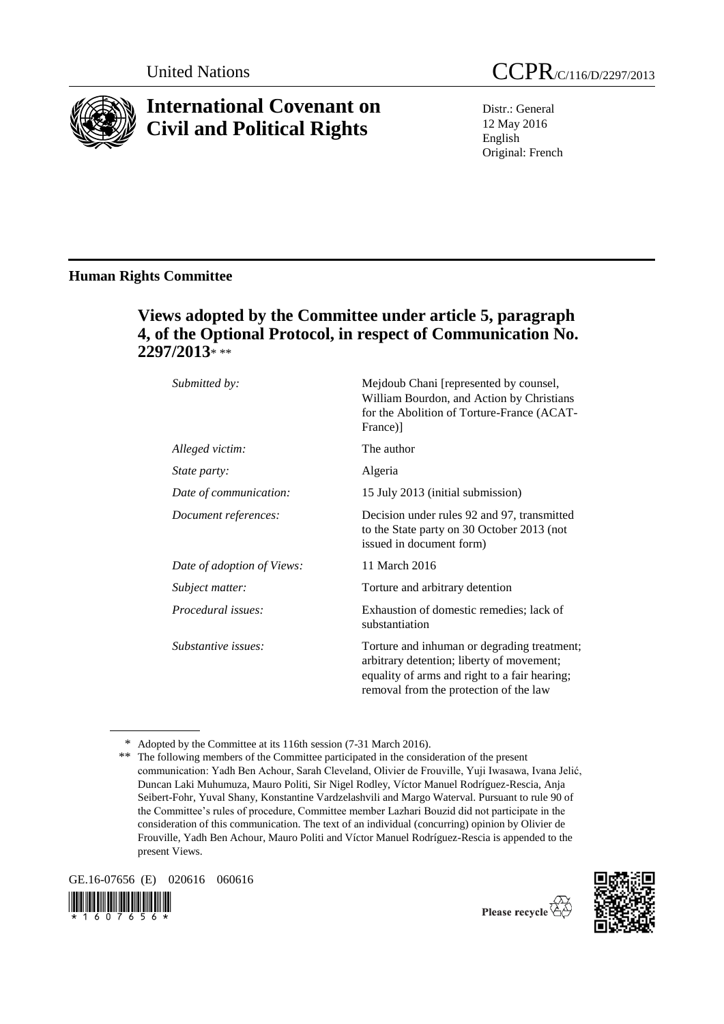

# **International Covenant on Civil and Political Rights**

Distr.: General 12 May 2016 English Original: French

## **Human Rights Committee**

# **Views adopted by the Committee under article 5, paragraph 4, of the Optional Protocol, in respect of Communication No. 2297/2013**\* \*\*

| Submitted by:              | Mejdoub Chani [represented by counsel,<br>William Bourdon, and Action by Christians<br>for the Abolition of Torture-France (ACAT-<br>France)]                                       |
|----------------------------|-------------------------------------------------------------------------------------------------------------------------------------------------------------------------------------|
| Alleged victim:            | The author                                                                                                                                                                          |
| <i>State party:</i>        | Algeria                                                                                                                                                                             |
| Date of communication:     | 15 July 2013 (initial submission)                                                                                                                                                   |
| Document references:       | Decision under rules 92 and 97, transmitted<br>to the State party on 30 October 2013 (not<br>issued in document form)                                                               |
| Date of adoption of Views: | 11 March 2016                                                                                                                                                                       |
| Subject matter:            | Torture and arbitrary detention                                                                                                                                                     |
| Procedural issues:         | Exhaustion of domestic remedies; lack of<br>substantiation                                                                                                                          |
| Substantive issues:        | Torture and inhuman or degrading treatment;<br>arbitrary detention; liberty of movement;<br>equality of arms and right to a fair hearing;<br>removal from the protection of the law |

<sup>\*</sup> Adopted by the Committee at its 116th session (7-31 March 2016).

GE.16-07656 (E) 020616 060616







<sup>\*\*</sup> The following members of the Committee participated in the consideration of the present communication: Yadh Ben Achour, Sarah Cleveland, Olivier de Frouville, Yuji Iwasawa, Ivana Jelić, Duncan Laki Muhumuza, Mauro Politi, Sir Nigel Rodley, Víctor Manuel Rodríguez-Rescia, Anja Seibert-Fohr, Yuval Shany, Konstantine Vardzelashvili and Margo Waterval. Pursuant to rule 90 of the Committee's rules of procedure, Committee member Lazhari Bouzid did not participate in the consideration of this communication. The text of an individual (concurring) opinion by Olivier de Frouville, Yadh Ben Achour, Mauro Politi and Víctor Manuel Rodríguez-Rescia is appended to the present Views.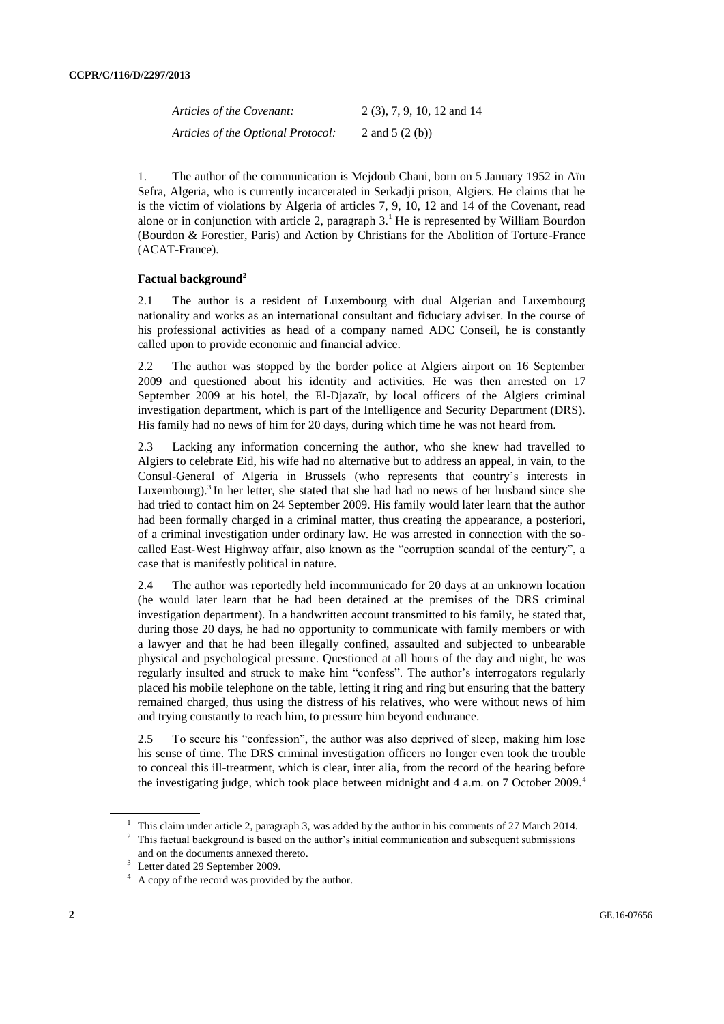| Articles of the Covenant:          | $2(3)$ , 7, 9, 10, 12 and 14 |
|------------------------------------|------------------------------|
| Articles of the Optional Protocol: | 2 and $5(2(b))$              |

1. The author of the communication is Mejdoub Chani, born on 5 January 1952 in Aïn Sefra, Algeria, who is currently incarcerated in Serkadji prison, Algiers. He claims that he is the victim of violations by Algeria of articles 7, 9, 10, 12 and 14 of the Covenant, read alone or in conjunction with article 2, paragraph  $3<sup>1</sup>$  He is represented by William Bourdon (Bourdon & Forestier, Paris) and Action by Christians for the Abolition of Torture-France (ACAT-France).

#### **Factual background<sup>2</sup>**

2.1 The author is a resident of Luxembourg with dual Algerian and Luxembourg nationality and works as an international consultant and fiduciary adviser. In the course of his professional activities as head of a company named ADC Conseil, he is constantly called upon to provide economic and financial advice.

2.2 The author was stopped by the border police at Algiers airport on 16 September 2009 and questioned about his identity and activities. He was then arrested on 17 September 2009 at his hotel, the El-Djazaïr, by local officers of the Algiers criminal investigation department, which is part of the Intelligence and Security Department (DRS). His family had no news of him for 20 days, during which time he was not heard from.

2.3 Lacking any information concerning the author, who she knew had travelled to Algiers to celebrate Eid, his wife had no alternative but to address an appeal, in vain, to the Consul-General of Algeria in Brussels (who represents that country's interests in Luxembourg).<sup>3</sup> In her letter, she stated that she had had no news of her husband since she had tried to contact him on 24 September 2009. His family would later learn that the author had been formally charged in a criminal matter, thus creating the appearance, a posteriori, of a criminal investigation under ordinary law. He was arrested in connection with the socalled East-West Highway affair, also known as the "corruption scandal of the century", a case that is manifestly political in nature.

2.4 The author was reportedly held incommunicado for 20 days at an unknown location (he would later learn that he had been detained at the premises of the DRS criminal investigation department). In a handwritten account transmitted to his family, he stated that, during those 20 days, he had no opportunity to communicate with family members or with a lawyer and that he had been illegally confined, assaulted and subjected to unbearable physical and psychological pressure. Questioned at all hours of the day and night, he was regularly insulted and struck to make him "confess". The author's interrogators regularly placed his mobile telephone on the table, letting it ring and ring but ensuring that the battery remained charged, thus using the distress of his relatives, who were without news of him and trying constantly to reach him, to pressure him beyond endurance.

2.5 To secure his "confession", the author was also deprived of sleep, making him lose his sense of time. The DRS criminal investigation officers no longer even took the trouble to conceal this ill-treatment, which is clear, inter alia, from the record of the hearing before the investigating judge, which took place between midnight and 4 a.m. on 7 October 2009.<sup>4</sup>

<sup>&</sup>lt;sup>1</sup> This claim under article 2, paragraph 3, was added by the author in his comments of 27 March 2014.

<sup>&</sup>lt;sup>2</sup> This factual background is based on the author's initial communication and subsequent submissions and on the documents annexed thereto.

<sup>&</sup>lt;sup>3</sup> Letter dated 29 September 2009.

<sup>4</sup> A copy of the record was provided by the author.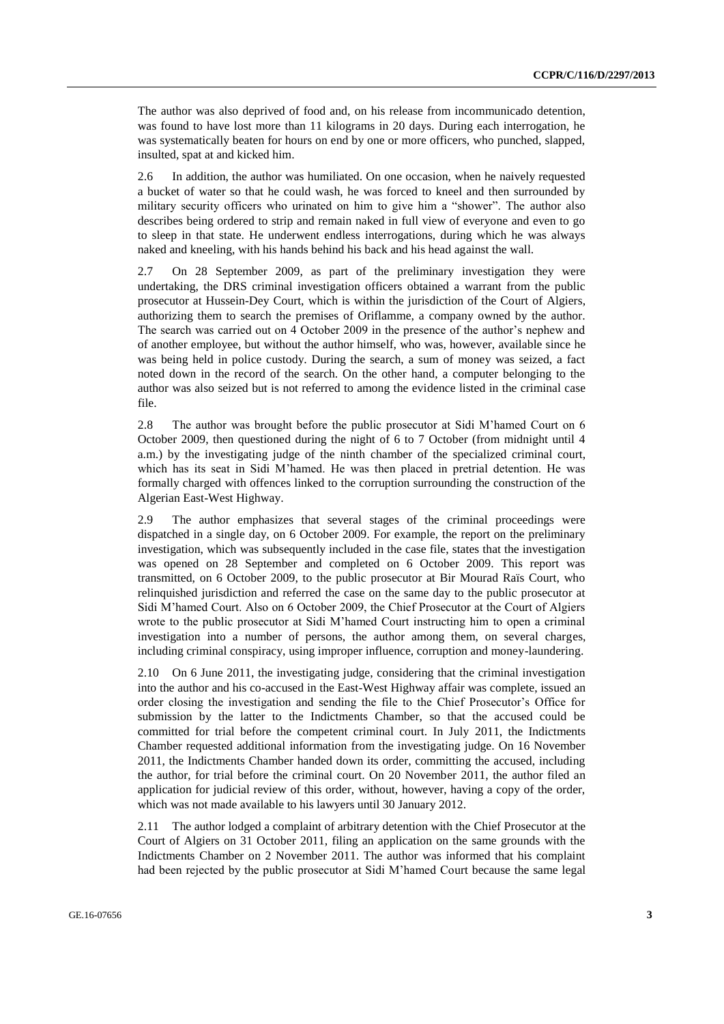The author was also deprived of food and, on his release from incommunicado detention, was found to have lost more than 11 kilograms in 20 days. During each interrogation, he was systematically beaten for hours on end by one or more officers, who punched, slapped, insulted, spat at and kicked him.

2.6 In addition, the author was humiliated. On one occasion, when he naively requested a bucket of water so that he could wash, he was forced to kneel and then surrounded by military security officers who urinated on him to give him a "shower". The author also describes being ordered to strip and remain naked in full view of everyone and even to go to sleep in that state. He underwent endless interrogations, during which he was always naked and kneeling, with his hands behind his back and his head against the wall.

2.7 On 28 September 2009, as part of the preliminary investigation they were undertaking, the DRS criminal investigation officers obtained a warrant from the public prosecutor at Hussein-Dey Court, which is within the jurisdiction of the Court of Algiers, authorizing them to search the premises of Oriflamme, a company owned by the author. The search was carried out on 4 October 2009 in the presence of the author's nephew and of another employee, but without the author himself, who was, however, available since he was being held in police custody. During the search, a sum of money was seized, a fact noted down in the record of the search. On the other hand, a computer belonging to the author was also seized but is not referred to among the evidence listed in the criminal case file.

2.8 The author was brought before the public prosecutor at Sidi M'hamed Court on 6 October 2009, then questioned during the night of 6 to 7 October (from midnight until 4 a.m.) by the investigating judge of the ninth chamber of the specialized criminal court, which has its seat in Sidi M'hamed. He was then placed in pretrial detention. He was formally charged with offences linked to the corruption surrounding the construction of the Algerian East-West Highway.

2.9 The author emphasizes that several stages of the criminal proceedings were dispatched in a single day, on 6 October 2009. For example, the report on the preliminary investigation, which was subsequently included in the case file, states that the investigation was opened on 28 September and completed on 6 October 2009. This report was transmitted, on 6 October 2009, to the public prosecutor at Bir Mourad Raïs Court, who relinquished jurisdiction and referred the case on the same day to the public prosecutor at Sidi M'hamed Court. Also on 6 October 2009, the Chief Prosecutor at the Court of Algiers wrote to the public prosecutor at Sidi M'hamed Court instructing him to open a criminal investigation into a number of persons, the author among them, on several charges, including criminal conspiracy, using improper influence, corruption and money-laundering.

2.10 On 6 June 2011, the investigating judge, considering that the criminal investigation into the author and his co-accused in the East-West Highway affair was complete, issued an order closing the investigation and sending the file to the Chief Prosecutor's Office for submission by the latter to the Indictments Chamber, so that the accused could be committed for trial before the competent criminal court. In July 2011, the Indictments Chamber requested additional information from the investigating judge. On 16 November 2011, the Indictments Chamber handed down its order, committing the accused, including the author, for trial before the criminal court. On 20 November 2011, the author filed an application for judicial review of this order, without, however, having a copy of the order, which was not made available to his lawyers until 30 January 2012.

2.11 The author lodged a complaint of arbitrary detention with the Chief Prosecutor at the Court of Algiers on 31 October 2011, filing an application on the same grounds with the Indictments Chamber on 2 November 2011. The author was informed that his complaint had been rejected by the public prosecutor at Sidi M'hamed Court because the same legal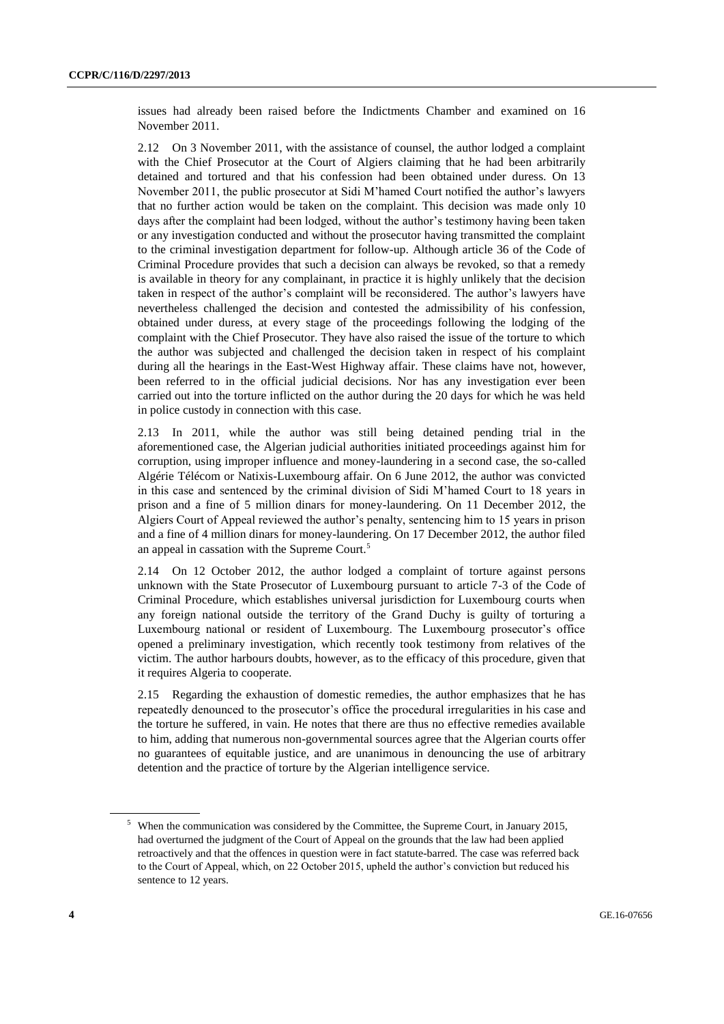issues had already been raised before the Indictments Chamber and examined on 16 November 2011.

2.12 On 3 November 2011, with the assistance of counsel, the author lodged a complaint with the Chief Prosecutor at the Court of Algiers claiming that he had been arbitrarily detained and tortured and that his confession had been obtained under duress. On 13 November 2011, the public prosecutor at Sidi M'hamed Court notified the author's lawyers that no further action would be taken on the complaint. This decision was made only 10 days after the complaint had been lodged, without the author's testimony having been taken or any investigation conducted and without the prosecutor having transmitted the complaint to the criminal investigation department for follow-up. Although article 36 of the Code of Criminal Procedure provides that such a decision can always be revoked, so that a remedy is available in theory for any complainant, in practice it is highly unlikely that the decision taken in respect of the author's complaint will be reconsidered. The author's lawyers have nevertheless challenged the decision and contested the admissibility of his confession, obtained under duress, at every stage of the proceedings following the lodging of the complaint with the Chief Prosecutor. They have also raised the issue of the torture to which the author was subjected and challenged the decision taken in respect of his complaint during all the hearings in the East-West Highway affair. These claims have not, however, been referred to in the official judicial decisions. Nor has any investigation ever been carried out into the torture inflicted on the author during the 20 days for which he was held in police custody in connection with this case.

2.13 In 2011, while the author was still being detained pending trial in the aforementioned case, the Algerian judicial authorities initiated proceedings against him for corruption, using improper influence and money-laundering in a second case, the so-called Algérie Télécom or Natixis-Luxembourg affair. On 6 June 2012, the author was convicted in this case and sentenced by the criminal division of Sidi M'hamed Court to 18 years in prison and a fine of 5 million dinars for money-laundering. On 11 December 2012, the Algiers Court of Appeal reviewed the author's penalty, sentencing him to 15 years in prison and a fine of 4 million dinars for money-laundering. On 17 December 2012, the author filed an appeal in cassation with the Supreme Court.<sup>5</sup>

2.14 On 12 October 2012, the author lodged a complaint of torture against persons unknown with the State Prosecutor of Luxembourg pursuant to article 7-3 of the Code of Criminal Procedure, which establishes universal jurisdiction for Luxembourg courts when any foreign national outside the territory of the Grand Duchy is guilty of torturing a Luxembourg national or resident of Luxembourg. The Luxembourg prosecutor's office opened a preliminary investigation, which recently took testimony from relatives of the victim. The author harbours doubts, however, as to the efficacy of this procedure, given that it requires Algeria to cooperate.

2.15 Regarding the exhaustion of domestic remedies, the author emphasizes that he has repeatedly denounced to the prosecutor's office the procedural irregularities in his case and the torture he suffered, in vain. He notes that there are thus no effective remedies available to him, adding that numerous non-governmental sources agree that the Algerian courts offer no guarantees of equitable justice, and are unanimous in denouncing the use of arbitrary detention and the practice of torture by the Algerian intelligence service.

<sup>&</sup>lt;sup>5</sup> When the communication was considered by the Committee, the Supreme Court, in January 2015, had overturned the judgment of the Court of Appeal on the grounds that the law had been applied retroactively and that the offences in question were in fact statute-barred. The case was referred back to the Court of Appeal, which, on 22 October 2015, upheld the author's conviction but reduced his sentence to 12 years.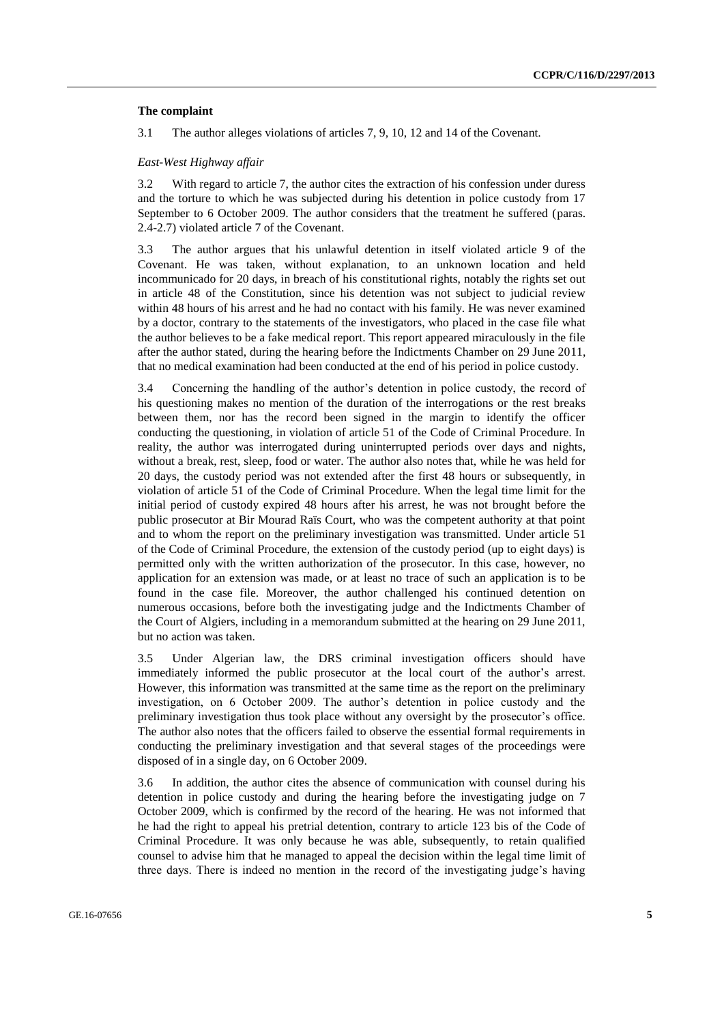#### **The complaint**

3.1 The author alleges violations of articles 7, 9, 10, 12 and 14 of the Covenant.

#### *East-West Highway affair*

3.2 With regard to article 7, the author cites the extraction of his confession under duress and the torture to which he was subjected during his detention in police custody from 17 September to 6 October 2009. The author considers that the treatment he suffered (paras. 2.4-2.7) violated article 7 of the Covenant.

3.3 The author argues that his unlawful detention in itself violated article 9 of the Covenant. He was taken, without explanation, to an unknown location and held incommunicado for 20 days, in breach of his constitutional rights, notably the rights set out in article 48 of the Constitution, since his detention was not subject to judicial review within 48 hours of his arrest and he had no contact with his family. He was never examined by a doctor, contrary to the statements of the investigators, who placed in the case file what the author believes to be a fake medical report. This report appeared miraculously in the file after the author stated, during the hearing before the Indictments Chamber on 29 June 2011, that no medical examination had been conducted at the end of his period in police custody.

3.4 Concerning the handling of the author's detention in police custody, the record of his questioning makes no mention of the duration of the interrogations or the rest breaks between them, nor has the record been signed in the margin to identify the officer conducting the questioning, in violation of article 51 of the Code of Criminal Procedure. In reality, the author was interrogated during uninterrupted periods over days and nights, without a break, rest, sleep, food or water. The author also notes that, while he was held for 20 days, the custody period was not extended after the first 48 hours or subsequently, in violation of article 51 of the Code of Criminal Procedure. When the legal time limit for the initial period of custody expired 48 hours after his arrest, he was not brought before the public prosecutor at Bir Mourad Raïs Court, who was the competent authority at that point and to whom the report on the preliminary investigation was transmitted. Under article 51 of the Code of Criminal Procedure, the extension of the custody period (up to eight days) is permitted only with the written authorization of the prosecutor. In this case, however, no application for an extension was made, or at least no trace of such an application is to be found in the case file. Moreover, the author challenged his continued detention on numerous occasions, before both the investigating judge and the Indictments Chamber of the Court of Algiers, including in a memorandum submitted at the hearing on 29 June 2011, but no action was taken.

3.5 Under Algerian law, the DRS criminal investigation officers should have immediately informed the public prosecutor at the local court of the author's arrest. However, this information was transmitted at the same time as the report on the preliminary investigation, on 6 October 2009. The author's detention in police custody and the preliminary investigation thus took place without any oversight by the prosecutor's office. The author also notes that the officers failed to observe the essential formal requirements in conducting the preliminary investigation and that several stages of the proceedings were disposed of in a single day, on 6 October 2009.

3.6 In addition, the author cites the absence of communication with counsel during his detention in police custody and during the hearing before the investigating judge on 7 October 2009, which is confirmed by the record of the hearing. He was not informed that he had the right to appeal his pretrial detention, contrary to article 123 bis of the Code of Criminal Procedure. It was only because he was able, subsequently, to retain qualified counsel to advise him that he managed to appeal the decision within the legal time limit of three days. There is indeed no mention in the record of the investigating judge's having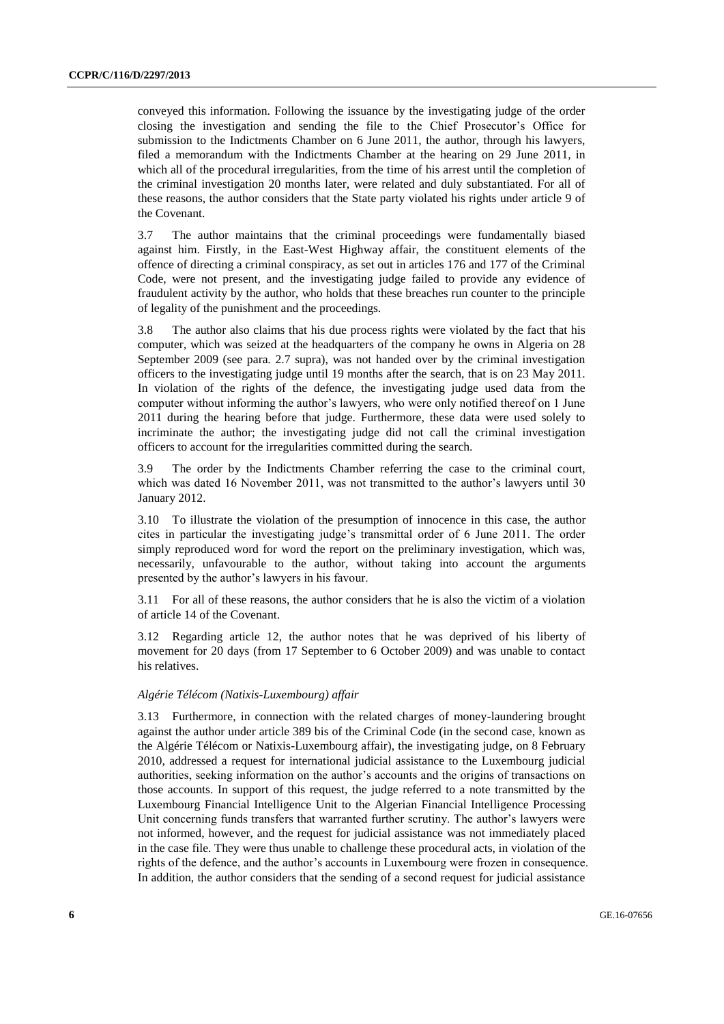conveyed this information. Following the issuance by the investigating judge of the order closing the investigation and sending the file to the Chief Prosecutor's Office for submission to the Indictments Chamber on 6 June 2011, the author, through his lawyers, filed a memorandum with the Indictments Chamber at the hearing on 29 June 2011, in which all of the procedural irregularities, from the time of his arrest until the completion of the criminal investigation 20 months later, were related and duly substantiated. For all of these reasons, the author considers that the State party violated his rights under article 9 of the Covenant.

3.7 The author maintains that the criminal proceedings were fundamentally biased against him. Firstly, in the East-West Highway affair, the constituent elements of the offence of directing a criminal conspiracy, as set out in articles 176 and 177 of the Criminal Code, were not present, and the investigating judge failed to provide any evidence of fraudulent activity by the author, who holds that these breaches run counter to the principle of legality of the punishment and the proceedings.

3.8 The author also claims that his due process rights were violated by the fact that his computer, which was seized at the headquarters of the company he owns in Algeria on 28 September 2009 (see para. 2.7 supra), was not handed over by the criminal investigation officers to the investigating judge until 19 months after the search, that is on 23 May 2011. In violation of the rights of the defence, the investigating judge used data from the computer without informing the author's lawyers, who were only notified thereof on 1 June 2011 during the hearing before that judge. Furthermore, these data were used solely to incriminate the author; the investigating judge did not call the criminal investigation officers to account for the irregularities committed during the search.

3.9 The order by the Indictments Chamber referring the case to the criminal court, which was dated 16 November 2011, was not transmitted to the author's lawyers until 30 January 2012.

3.10 To illustrate the violation of the presumption of innocence in this case, the author cites in particular the investigating judge's transmittal order of 6 June 2011. The order simply reproduced word for word the report on the preliminary investigation, which was, necessarily, unfavourable to the author, without taking into account the arguments presented by the author's lawyers in his favour.

3.11 For all of these reasons, the author considers that he is also the victim of a violation of article 14 of the Covenant.

3.12 Regarding article 12, the author notes that he was deprived of his liberty of movement for 20 days (from 17 September to 6 October 2009) and was unable to contact his relatives.

#### *Algérie Télécom (Natixis-Luxembourg) affair*

3.13 Furthermore, in connection with the related charges of money-laundering brought against the author under article 389 bis of the Criminal Code (in the second case, known as the Algérie Télécom or Natixis-Luxembourg affair), the investigating judge, on 8 February 2010, addressed a request for international judicial assistance to the Luxembourg judicial authorities, seeking information on the author's accounts and the origins of transactions on those accounts. In support of this request, the judge referred to a note transmitted by the Luxembourg Financial Intelligence Unit to the Algerian Financial Intelligence Processing Unit concerning funds transfers that warranted further scrutiny. The author's lawyers were not informed, however, and the request for judicial assistance was not immediately placed in the case file. They were thus unable to challenge these procedural acts, in violation of the rights of the defence, and the author's accounts in Luxembourg were frozen in consequence. In addition, the author considers that the sending of a second request for judicial assistance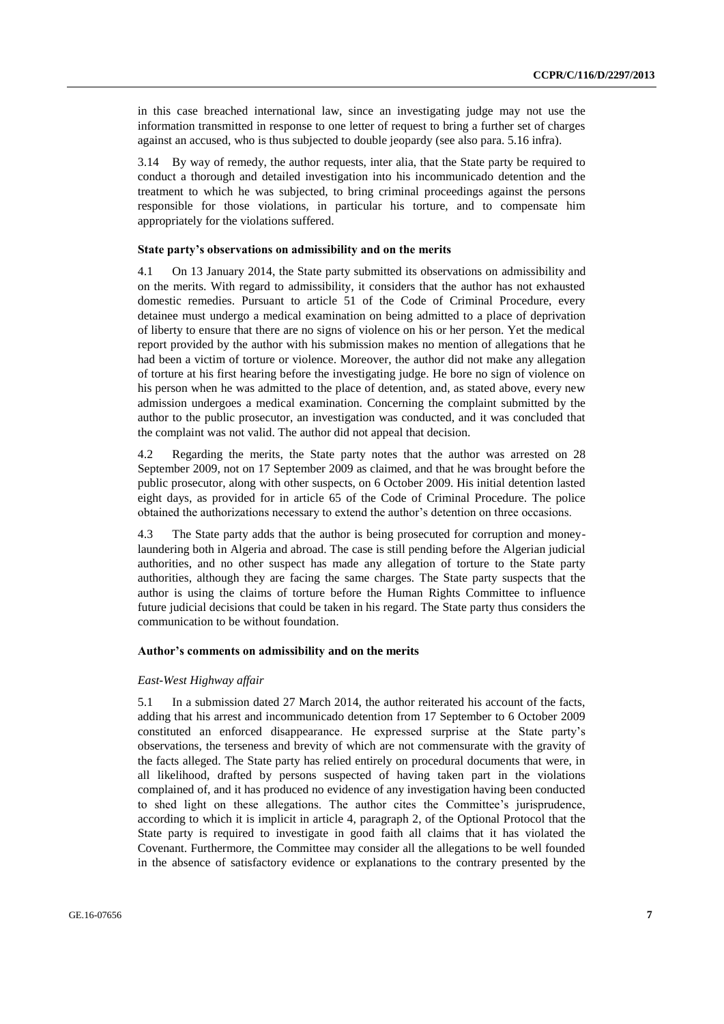in this case breached international law, since an investigating judge may not use the information transmitted in response to one letter of request to bring a further set of charges against an accused, who is thus subjected to double jeopardy (see also para. 5.16 infra).

3.14 By way of remedy, the author requests, inter alia, that the State party be required to conduct a thorough and detailed investigation into his incommunicado detention and the treatment to which he was subjected, to bring criminal proceedings against the persons responsible for those violations, in particular his torture, and to compensate him appropriately for the violations suffered.

#### **State party's observations on admissibility and on the merits**

4.1 On 13 January 2014, the State party submitted its observations on admissibility and on the merits. With regard to admissibility, it considers that the author has not exhausted domestic remedies. Pursuant to article 51 of the Code of Criminal Procedure, every detainee must undergo a medical examination on being admitted to a place of deprivation of liberty to ensure that there are no signs of violence on his or her person. Yet the medical report provided by the author with his submission makes no mention of allegations that he had been a victim of torture or violence. Moreover, the author did not make any allegation of torture at his first hearing before the investigating judge. He bore no sign of violence on his person when he was admitted to the place of detention, and, as stated above, every new admission undergoes a medical examination. Concerning the complaint submitted by the author to the public prosecutor, an investigation was conducted, and it was concluded that the complaint was not valid. The author did not appeal that decision.

4.2 Regarding the merits, the State party notes that the author was arrested on 28 September 2009, not on 17 September 2009 as claimed, and that he was brought before the public prosecutor, along with other suspects, on 6 October 2009. His initial detention lasted eight days, as provided for in article 65 of the Code of Criminal Procedure. The police obtained the authorizations necessary to extend the author's detention on three occasions.

4.3 The State party adds that the author is being prosecuted for corruption and moneylaundering both in Algeria and abroad. The case is still pending before the Algerian judicial authorities, and no other suspect has made any allegation of torture to the State party authorities, although they are facing the same charges. The State party suspects that the author is using the claims of torture before the Human Rights Committee to influence future judicial decisions that could be taken in his regard. The State party thus considers the communication to be without foundation.

#### **Author's comments on admissibility and on the merits**

#### *East-West Highway affair*

5.1 In a submission dated 27 March 2014, the author reiterated his account of the facts, adding that his arrest and incommunicado detention from 17 September to 6 October 2009 constituted an enforced disappearance. He expressed surprise at the State party's observations, the terseness and brevity of which are not commensurate with the gravity of the facts alleged. The State party has relied entirely on procedural documents that were, in all likelihood, drafted by persons suspected of having taken part in the violations complained of, and it has produced no evidence of any investigation having been conducted to shed light on these allegations. The author cites the Committee's jurisprudence, according to which it is implicit in article 4, paragraph 2, of the Optional Protocol that the State party is required to investigate in good faith all claims that it has violated the Covenant. Furthermore, the Committee may consider all the allegations to be well founded in the absence of satisfactory evidence or explanations to the contrary presented by the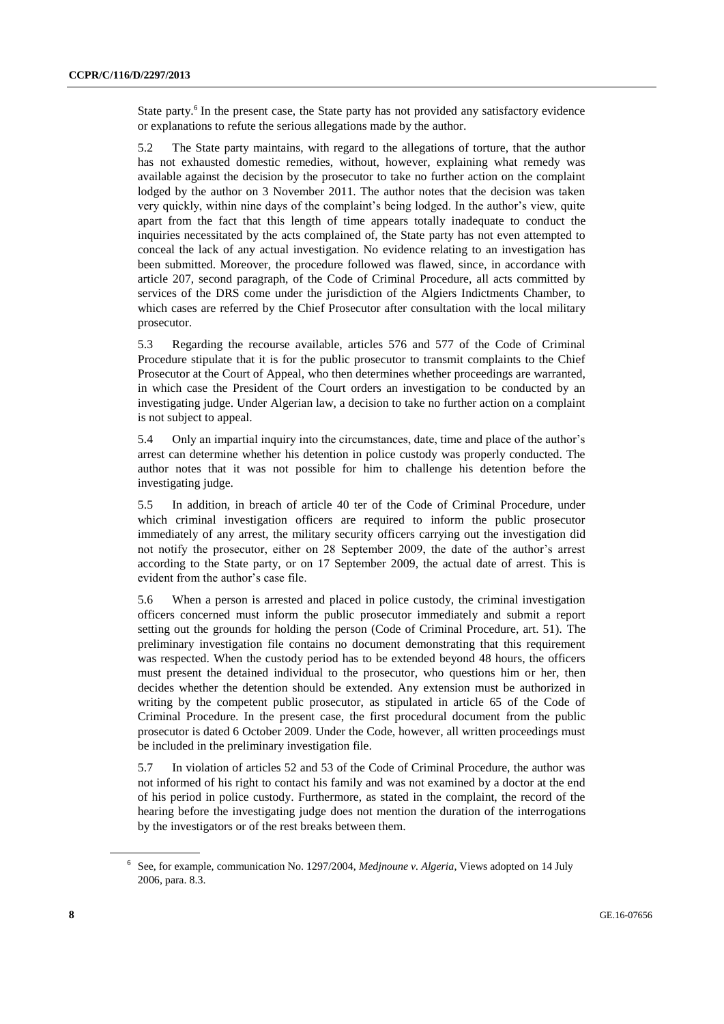State party.<sup>6</sup> In the present case, the State party has not provided any satisfactory evidence or explanations to refute the serious allegations made by the author.

5.2 The State party maintains, with regard to the allegations of torture, that the author has not exhausted domestic remedies, without, however, explaining what remedy was available against the decision by the prosecutor to take no further action on the complaint lodged by the author on 3 November 2011. The author notes that the decision was taken very quickly, within nine days of the complaint's being lodged. In the author's view, quite apart from the fact that this length of time appears totally inadequate to conduct the inquiries necessitated by the acts complained of, the State party has not even attempted to conceal the lack of any actual investigation. No evidence relating to an investigation has been submitted. Moreover, the procedure followed was flawed, since, in accordance with article 207, second paragraph, of the Code of Criminal Procedure, all acts committed by services of the DRS come under the jurisdiction of the Algiers Indictments Chamber, to which cases are referred by the Chief Prosecutor after consultation with the local military prosecutor.

5.3 Regarding the recourse available, articles 576 and 577 of the Code of Criminal Procedure stipulate that it is for the public prosecutor to transmit complaints to the Chief Prosecutor at the Court of Appeal, who then determines whether proceedings are warranted, in which case the President of the Court orders an investigation to be conducted by an investigating judge. Under Algerian law, a decision to take no further action on a complaint is not subject to appeal.

5.4 Only an impartial inquiry into the circumstances, date, time and place of the author's arrest can determine whether his detention in police custody was properly conducted. The author notes that it was not possible for him to challenge his detention before the investigating judge.

5.5 In addition, in breach of article 40 ter of the Code of Criminal Procedure, under which criminal investigation officers are required to inform the public prosecutor immediately of any arrest, the military security officers carrying out the investigation did not notify the prosecutor, either on 28 September 2009, the date of the author's arrest according to the State party, or on 17 September 2009, the actual date of arrest. This is evident from the author's case file.

5.6 When a person is arrested and placed in police custody, the criminal investigation officers concerned must inform the public prosecutor immediately and submit a report setting out the grounds for holding the person (Code of Criminal Procedure, art. 51). The preliminary investigation file contains no document demonstrating that this requirement was respected. When the custody period has to be extended beyond 48 hours, the officers must present the detained individual to the prosecutor, who questions him or her, then decides whether the detention should be extended. Any extension must be authorized in writing by the competent public prosecutor, as stipulated in article 65 of the Code of Criminal Procedure. In the present case, the first procedural document from the public prosecutor is dated 6 October 2009. Under the Code, however, all written proceedings must be included in the preliminary investigation file.

5.7 In violation of articles 52 and 53 of the Code of Criminal Procedure, the author was not informed of his right to contact his family and was not examined by a doctor at the end of his period in police custody. Furthermore, as stated in the complaint, the record of the hearing before the investigating judge does not mention the duration of the interrogations by the investigators or of the rest breaks between them.

<sup>6</sup> See, for example, communication No. 1297/2004, *Medjnoune v. Algeria*, Views adopted on 14 July 2006, para. 8.3.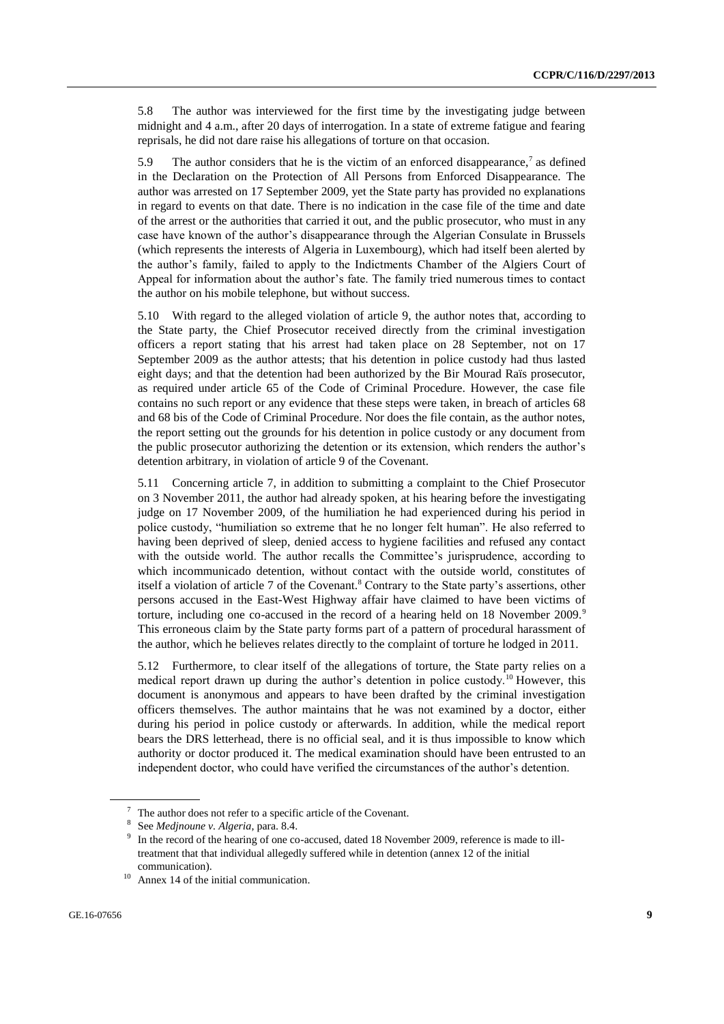5.8 The author was interviewed for the first time by the investigating judge between midnight and 4 a.m., after 20 days of interrogation. In a state of extreme fatigue and fearing reprisals, he did not dare raise his allegations of torture on that occasion.

5.9 The author considers that he is the victim of an enforced disappearance,<sup>7</sup> as defined in the Declaration on the Protection of All Persons from Enforced Disappearance. The author was arrested on 17 September 2009, yet the State party has provided no explanations in regard to events on that date. There is no indication in the case file of the time and date of the arrest or the authorities that carried it out, and the public prosecutor, who must in any case have known of the author's disappearance through the Algerian Consulate in Brussels (which represents the interests of Algeria in Luxembourg), which had itself been alerted by the author's family, failed to apply to the Indictments Chamber of the Algiers Court of Appeal for information about the author's fate. The family tried numerous times to contact the author on his mobile telephone, but without success.

5.10 With regard to the alleged violation of article 9, the author notes that, according to the State party, the Chief Prosecutor received directly from the criminal investigation officers a report stating that his arrest had taken place on 28 September, not on 17 September 2009 as the author attests; that his detention in police custody had thus lasted eight days; and that the detention had been authorized by the Bir Mourad Raïs prosecutor, as required under article 65 of the Code of Criminal Procedure. However, the case file contains no such report or any evidence that these steps were taken, in breach of articles 68 and 68 bis of the Code of Criminal Procedure. Nor does the file contain, as the author notes, the report setting out the grounds for his detention in police custody or any document from the public prosecutor authorizing the detention or its extension, which renders the author's detention arbitrary, in violation of article 9 of the Covenant.

5.11 Concerning article 7, in addition to submitting a complaint to the Chief Prosecutor on 3 November 2011, the author had already spoken, at his hearing before the investigating judge on 17 November 2009, of the humiliation he had experienced during his period in police custody, "humiliation so extreme that he no longer felt human". He also referred to having been deprived of sleep, denied access to hygiene facilities and refused any contact with the outside world. The author recalls the Committee's jurisprudence, according to which incommunicado detention, without contact with the outside world, constitutes of itself a violation of article 7 of the Covenant.<sup>8</sup> Contrary to the State party's assertions, other persons accused in the East-West Highway affair have claimed to have been victims of torture, including one co-accused in the record of a hearing held on 18 November 2009.<sup>9</sup> This erroneous claim by the State party forms part of a pattern of procedural harassment of the author, which he believes relates directly to the complaint of torture he lodged in 2011.

5.12 Furthermore, to clear itself of the allegations of torture, the State party relies on a medical report drawn up during the author's detention in police custody.<sup>10</sup> However, this document is anonymous and appears to have been drafted by the criminal investigation officers themselves. The author maintains that he was not examined by a doctor, either during his period in police custody or afterwards. In addition, while the medical report bears the DRS letterhead, there is no official seal, and it is thus impossible to know which authority or doctor produced it. The medical examination should have been entrusted to an independent doctor, who could have verified the circumstances of the author's detention.

The author does not refer to a specific article of the Covenant.

<sup>8</sup> See *Medjnoune v. Algeria*, para. 8.4.

<sup>9</sup> In the record of the hearing of one co-accused, dated 18 November 2009, reference is made to illtreatment that that individual allegedly suffered while in detention (annex 12 of the initial communication).

Annex 14 of the initial communication.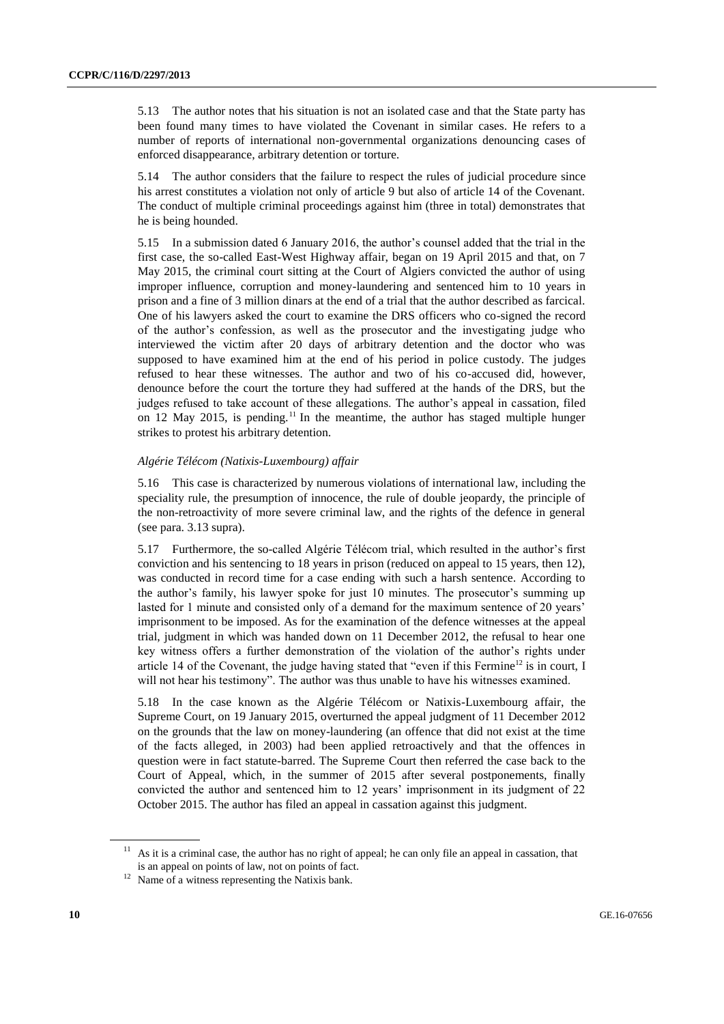5.13 The author notes that his situation is not an isolated case and that the State party has been found many times to have violated the Covenant in similar cases. He refers to a number of reports of international non-governmental organizations denouncing cases of enforced disappearance, arbitrary detention or torture.

5.14 The author considers that the failure to respect the rules of judicial procedure since his arrest constitutes a violation not only of article 9 but also of article 14 of the Covenant. The conduct of multiple criminal proceedings against him (three in total) demonstrates that he is being hounded.

5.15 In a submission dated 6 January 2016, the author's counsel added that the trial in the first case, the so-called East-West Highway affair, began on 19 April 2015 and that, on 7 May 2015, the criminal court sitting at the Court of Algiers convicted the author of using improper influence, corruption and money-laundering and sentenced him to 10 years in prison and a fine of 3 million dinars at the end of a trial that the author described as farcical. One of his lawyers asked the court to examine the DRS officers who co-signed the record of the author's confession, as well as the prosecutor and the investigating judge who interviewed the victim after 20 days of arbitrary detention and the doctor who was supposed to have examined him at the end of his period in police custody. The judges refused to hear these witnesses. The author and two of his co-accused did, however, denounce before the court the torture they had suffered at the hands of the DRS, but the judges refused to take account of these allegations. The author's appeal in cassation, filed on 12 May 2015, is pending.<sup>11</sup> In the meantime, the author has staged multiple hunger strikes to protest his arbitrary detention.

#### *Algérie Télécom (Natixis-Luxembourg) affair*

5.16 This case is characterized by numerous violations of international law, including the speciality rule, the presumption of innocence, the rule of double jeopardy, the principle of the non-retroactivity of more severe criminal law, and the rights of the defence in general (see para. 3.13 supra).

5.17 Furthermore, the so-called Algérie Télécom trial, which resulted in the author's first conviction and his sentencing to 18 years in prison (reduced on appeal to 15 years, then 12), was conducted in record time for a case ending with such a harsh sentence. According to the author's family, his lawyer spoke for just 10 minutes. The prosecutor's summing up lasted for 1 minute and consisted only of a demand for the maximum sentence of 20 years' imprisonment to be imposed. As for the examination of the defence witnesses at the appeal trial, judgment in which was handed down on 11 December 2012, the refusal to hear one key witness offers a further demonstration of the violation of the author's rights under article 14 of the Covenant, the judge having stated that "even if this Fermine<sup>12</sup> is in court, I will not hear his testimony". The author was thus unable to have his witnesses examined.

5.18 In the case known as the Algérie Télécom or Natixis-Luxembourg affair, the Supreme Court, on 19 January 2015, overturned the appeal judgment of 11 December 2012 on the grounds that the law on money-laundering (an offence that did not exist at the time of the facts alleged, in 2003) had been applied retroactively and that the offences in question were in fact statute-barred. The Supreme Court then referred the case back to the Court of Appeal, which, in the summer of 2015 after several postponements, finally convicted the author and sentenced him to 12 years' imprisonment in its judgment of 22 October 2015. The author has filed an appeal in cassation against this judgment.

<sup>11</sup> As it is a criminal case, the author has no right of appeal; he can only file an appeal in cassation, that is an appeal on points of law, not on points of fact.

<sup>&</sup>lt;sup>12</sup> Name of a witness representing the Natixis bank.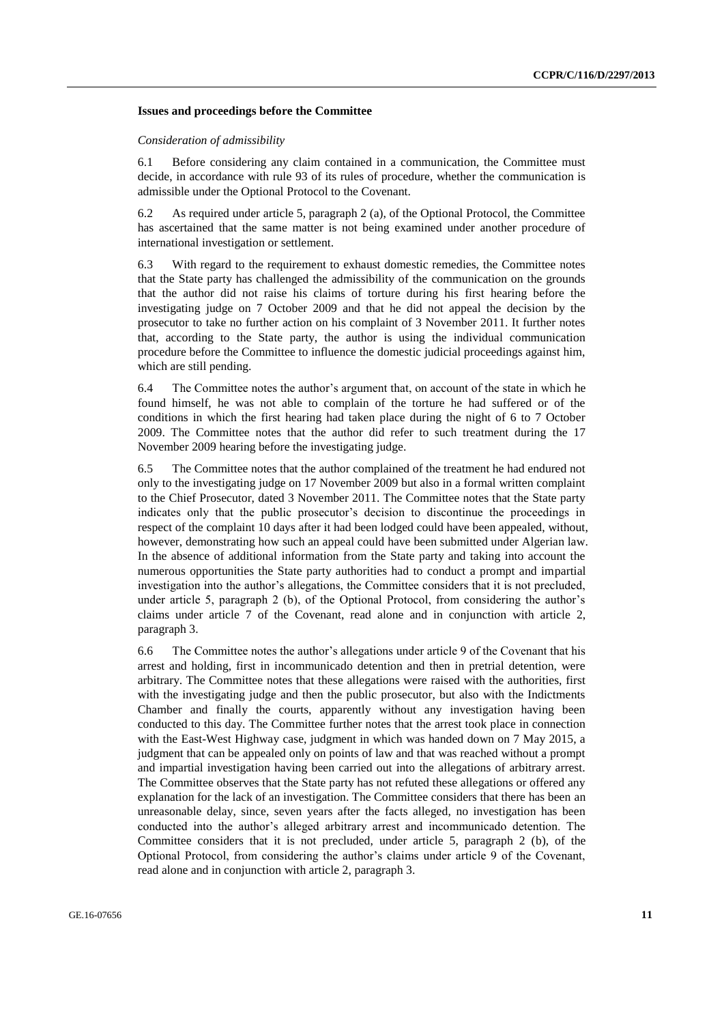#### **Issues and proceedings before the Committee**

#### *Consideration of admissibility*

6.1 Before considering any claim contained in a communication, the Committee must decide, in accordance with rule 93 of its rules of procedure, whether the communication is admissible under the Optional Protocol to the Covenant.

6.2 As required under article 5, paragraph 2 (a), of the Optional Protocol, the Committee has ascertained that the same matter is not being examined under another procedure of international investigation or settlement.

6.3 With regard to the requirement to exhaust domestic remedies, the Committee notes that the State party has challenged the admissibility of the communication on the grounds that the author did not raise his claims of torture during his first hearing before the investigating judge on 7 October 2009 and that he did not appeal the decision by the prosecutor to take no further action on his complaint of 3 November 2011. It further notes that, according to the State party, the author is using the individual communication procedure before the Committee to influence the domestic judicial proceedings against him, which are still pending.

6.4 The Committee notes the author's argument that, on account of the state in which he found himself, he was not able to complain of the torture he had suffered or of the conditions in which the first hearing had taken place during the night of 6 to 7 October 2009. The Committee notes that the author did refer to such treatment during the 17 November 2009 hearing before the investigating judge.

6.5 The Committee notes that the author complained of the treatment he had endured not only to the investigating judge on 17 November 2009 but also in a formal written complaint to the Chief Prosecutor, dated 3 November 2011. The Committee notes that the State party indicates only that the public prosecutor's decision to discontinue the proceedings in respect of the complaint 10 days after it had been lodged could have been appealed, without, however, demonstrating how such an appeal could have been submitted under Algerian law. In the absence of additional information from the State party and taking into account the numerous opportunities the State party authorities had to conduct a prompt and impartial investigation into the author's allegations, the Committee considers that it is not precluded, under article 5, paragraph 2 (b), of the Optional Protocol, from considering the author's claims under article 7 of the Covenant, read alone and in conjunction with article 2, paragraph 3.

6.6 The Committee notes the author's allegations under article 9 of the Covenant that his arrest and holding, first in incommunicado detention and then in pretrial detention, were arbitrary. The Committee notes that these allegations were raised with the authorities, first with the investigating judge and then the public prosecutor, but also with the Indictments Chamber and finally the courts, apparently without any investigation having been conducted to this day. The Committee further notes that the arrest took place in connection with the East-West Highway case, judgment in which was handed down on 7 May 2015, a judgment that can be appealed only on points of law and that was reached without a prompt and impartial investigation having been carried out into the allegations of arbitrary arrest. The Committee observes that the State party has not refuted these allegations or offered any explanation for the lack of an investigation. The Committee considers that there has been an unreasonable delay, since, seven years after the facts alleged, no investigation has been conducted into the author's alleged arbitrary arrest and incommunicado detention. The Committee considers that it is not precluded, under article 5, paragraph 2 (b), of the Optional Protocol, from considering the author's claims under article 9 of the Covenant, read alone and in conjunction with article 2, paragraph 3.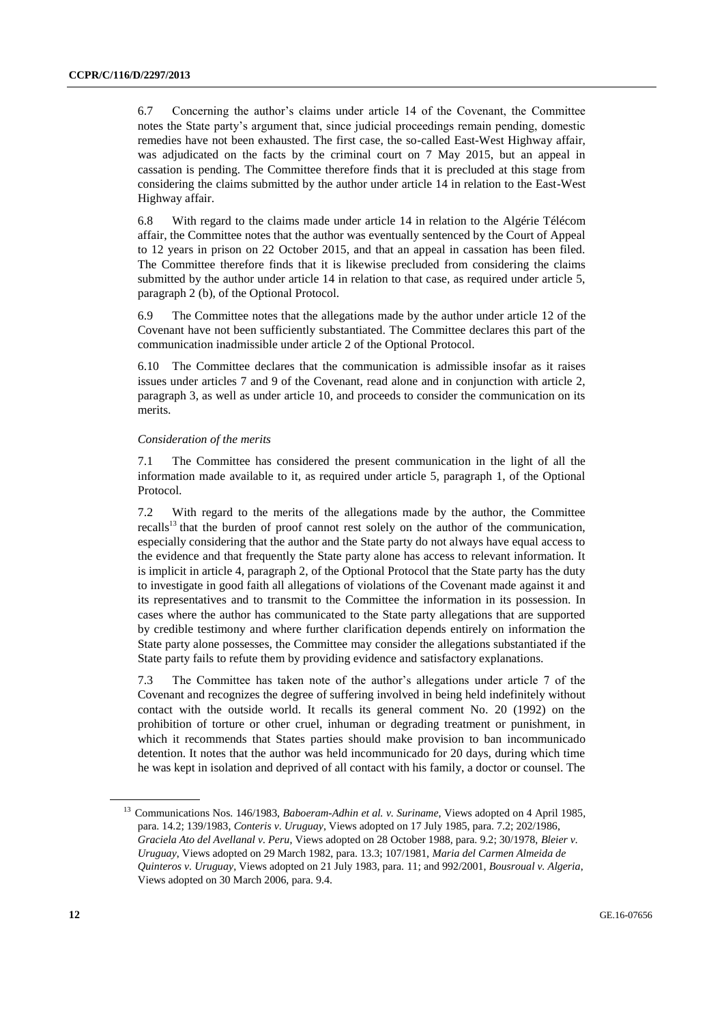6.7 Concerning the author's claims under article 14 of the Covenant, the Committee notes the State party's argument that, since judicial proceedings remain pending, domestic remedies have not been exhausted. The first case, the so-called East-West Highway affair, was adjudicated on the facts by the criminal court on 7 May 2015, but an appeal in cassation is pending. The Committee therefore finds that it is precluded at this stage from considering the claims submitted by the author under article 14 in relation to the East-West Highway affair.

6.8 With regard to the claims made under article 14 in relation to the Algérie Télécom affair, the Committee notes that the author was eventually sentenced by the Court of Appeal to 12 years in prison on 22 October 2015, and that an appeal in cassation has been filed. The Committee therefore finds that it is likewise precluded from considering the claims submitted by the author under article 14 in relation to that case, as required under article 5, paragraph 2 (b), of the Optional Protocol.

6.9 The Committee notes that the allegations made by the author under article 12 of the Covenant have not been sufficiently substantiated. The Committee declares this part of the communication inadmissible under article 2 of the Optional Protocol.

6.10 The Committee declares that the communication is admissible insofar as it raises issues under articles 7 and 9 of the Covenant, read alone and in conjunction with article 2, paragraph 3, as well as under article 10, and proceeds to consider the communication on its merits.

#### *Consideration of the merits*

7.1 The Committee has considered the present communication in the light of all the information made available to it, as required under article 5, paragraph 1, of the Optional Protocol.

7.2 With regard to the merits of the allegations made by the author, the Committee recalls<sup>13</sup> that the burden of proof cannot rest solely on the author of the communication, especially considering that the author and the State party do not always have equal access to the evidence and that frequently the State party alone has access to relevant information. It is implicit in article 4, paragraph 2, of the Optional Protocol that the State party has the duty to investigate in good faith all allegations of violations of the Covenant made against it and its representatives and to transmit to the Committee the information in its possession. In cases where the author has communicated to the State party allegations that are supported by credible testimony and where further clarification depends entirely on information the State party alone possesses, the Committee may consider the allegations substantiated if the State party fails to refute them by providing evidence and satisfactory explanations.

7.3 The Committee has taken note of the author's allegations under article 7 of the Covenant and recognizes the degree of suffering involved in being held indefinitely without contact with the outside world. It recalls its general comment No. 20 (1992) on the prohibition of torture or other cruel, inhuman or degrading treatment or punishment, in which it recommends that States parties should make provision to ban incommunicado detention. It notes that the author was held incommunicado for 20 days, during which time he was kept in isolation and deprived of all contact with his family, a doctor or counsel. The

<sup>&</sup>lt;sup>13</sup> Communications Nos. 146/1983, *Baboeram-Adhin et al. v. Suriname*, Views adopted on 4 April 1985, para. 14.2; 139/1983, *Conteris v. Uruguay*, Views adopted on 17 July 1985, para. 7.2; 202/1986, *Graciela Ato del Avellanal v. Peru*, Views adopted on 28 October 1988, para. 9.2; 30/1978, *Bleier v. Uruguay*, Views adopted on 29 March 1982, para. 13.3; 107/1981, *Maria del Carmen Almeida de Quinteros v. Uruguay*, Views adopted on 21 July 1983, para. 11; and 992/2001, *Bousroual v. Algeria*, Views adopted on 30 March 2006, para. 9.4.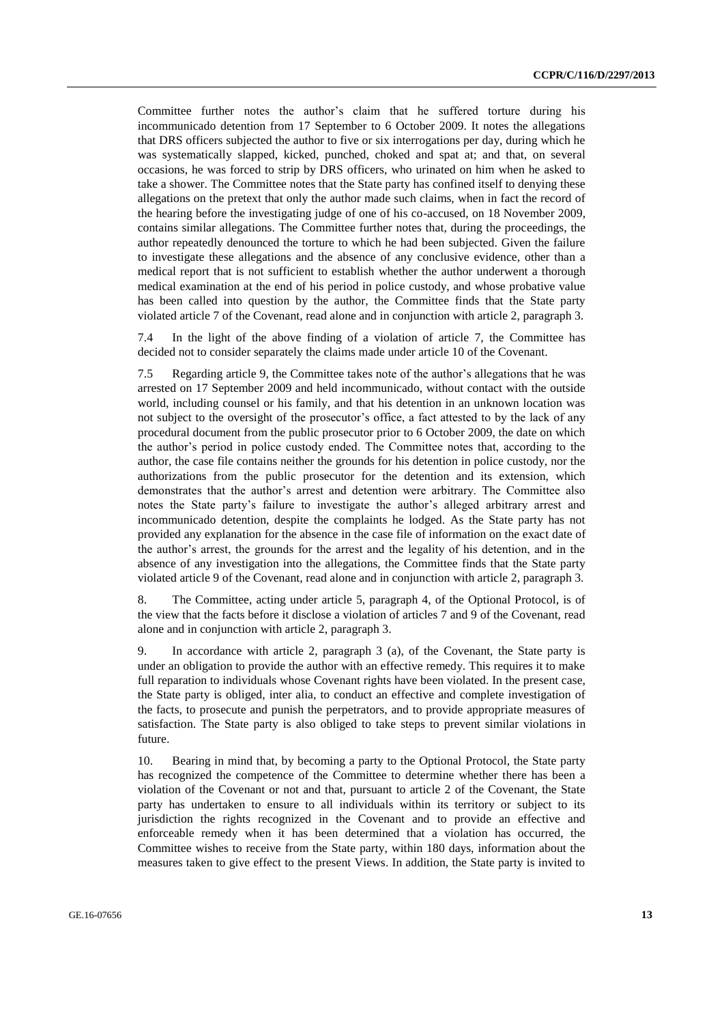Committee further notes the author's claim that he suffered torture during his incommunicado detention from 17 September to 6 October 2009. It notes the allegations that DRS officers subjected the author to five or six interrogations per day, during which he was systematically slapped, kicked, punched, choked and spat at; and that, on several occasions, he was forced to strip by DRS officers, who urinated on him when he asked to take a shower. The Committee notes that the State party has confined itself to denying these allegations on the pretext that only the author made such claims, when in fact the record of the hearing before the investigating judge of one of his co-accused, on 18 November 2009, contains similar allegations. The Committee further notes that, during the proceedings, the author repeatedly denounced the torture to which he had been subjected. Given the failure to investigate these allegations and the absence of any conclusive evidence, other than a medical report that is not sufficient to establish whether the author underwent a thorough medical examination at the end of his period in police custody, and whose probative value has been called into question by the author, the Committee finds that the State party violated article 7 of the Covenant, read alone and in conjunction with article 2, paragraph 3.

7.4 In the light of the above finding of a violation of article 7, the Committee has decided not to consider separately the claims made under article 10 of the Covenant.

7.5 Regarding article 9, the Committee takes note of the author's allegations that he was arrested on 17 September 2009 and held incommunicado, without contact with the outside world, including counsel or his family, and that his detention in an unknown location was not subject to the oversight of the prosecutor's office, a fact attested to by the lack of any procedural document from the public prosecutor prior to 6 October 2009, the date on which the author's period in police custody ended. The Committee notes that, according to the author, the case file contains neither the grounds for his detention in police custody, nor the authorizations from the public prosecutor for the detention and its extension, which demonstrates that the author's arrest and detention were arbitrary. The Committee also notes the State party's failure to investigate the author's alleged arbitrary arrest and incommunicado detention, despite the complaints he lodged. As the State party has not provided any explanation for the absence in the case file of information on the exact date of the author's arrest, the grounds for the arrest and the legality of his detention, and in the absence of any investigation into the allegations, the Committee finds that the State party violated article 9 of the Covenant, read alone and in conjunction with article 2, paragraph 3.

8. The Committee, acting under article 5, paragraph 4, of the Optional Protocol, is of the view that the facts before it disclose a violation of articles 7 and 9 of the Covenant, read alone and in conjunction with article 2, paragraph 3.

9. In accordance with article 2, paragraph 3 (a), of the Covenant, the State party is under an obligation to provide the author with an effective remedy. This requires it to make full reparation to individuals whose Covenant rights have been violated. In the present case, the State party is obliged, inter alia, to conduct an effective and complete investigation of the facts, to prosecute and punish the perpetrators, and to provide appropriate measures of satisfaction. The State party is also obliged to take steps to prevent similar violations in future.

10. Bearing in mind that, by becoming a party to the Optional Protocol, the State party has recognized the competence of the Committee to determine whether there has been a violation of the Covenant or not and that, pursuant to article 2 of the Covenant, the State party has undertaken to ensure to all individuals within its territory or subject to its jurisdiction the rights recognized in the Covenant and to provide an effective and enforceable remedy when it has been determined that a violation has occurred, the Committee wishes to receive from the State party, within 180 days, information about the measures taken to give effect to the present Views. In addition, the State party is invited to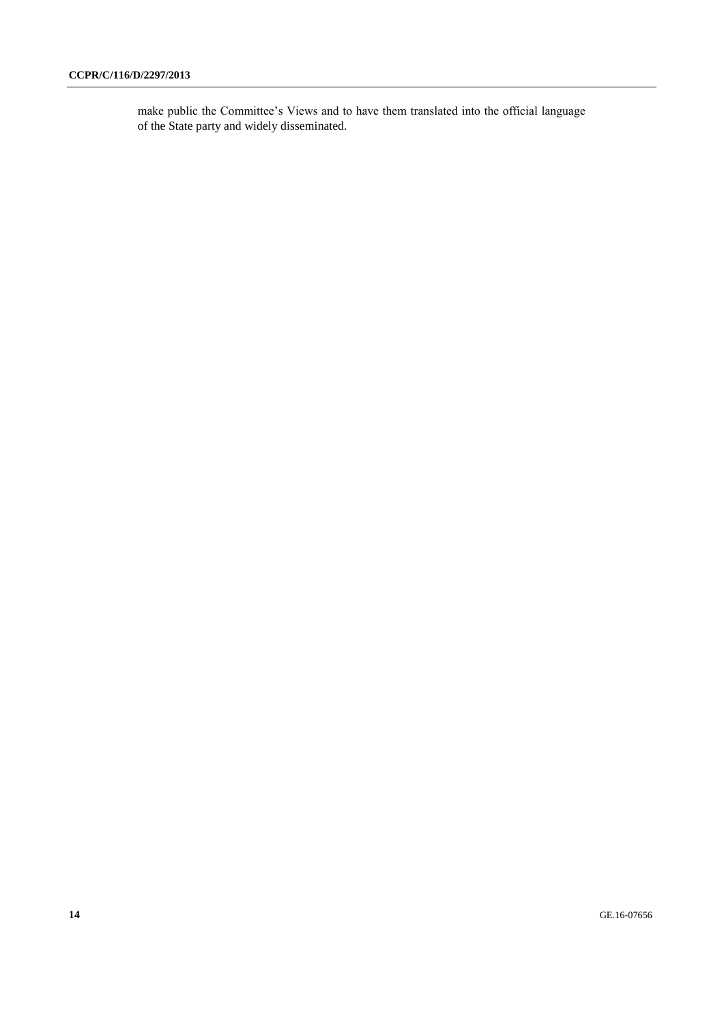make public the Committee's Views and to have them translated into the official language of the State party and widely disseminated.